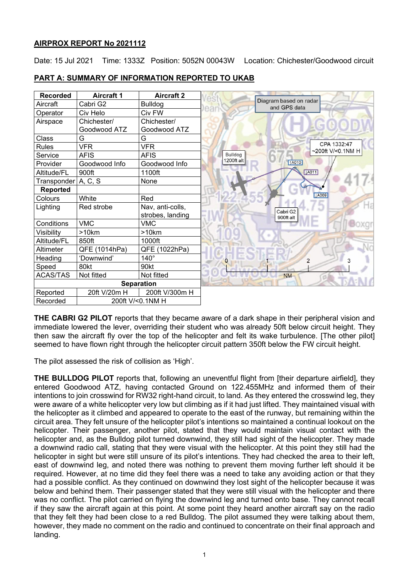# **AIRPROX REPORT No 2021112**

Date: 15 Jul 2021 Time: 1333Z Position: 5052N 00043W Location: Chichester/Goodwood circuit

| <b>Recorded</b>     | <b>Aircraft 1</b> | <b>Aircraft 2</b> |                                        |
|---------------------|-------------------|-------------------|----------------------------------------|
| Aircraft            | Cabri G2          | <b>Bulldog</b>    | Diagram based on radar<br>and GPS data |
| Operator            | Civ Helo          | Civ FW            |                                        |
| Airspace            | Chichester/       | Chichester/       |                                        |
|                     | Goodwood ATZ      | Goodwood ATZ      |                                        |
| Class               | G                 | G                 |                                        |
| <b>Rules</b>        | <b>VFR</b>        | <b>VFR</b>        |                                        |
| Service             | <b>AFIS</b>       | AFIS              | Bulldog                                |
| Provider            | Goodwood Info     | Goodwood Info     | 1200ft alt<br><b>14010</b>             |
| Altitude/FL         | 900ft             | 1100ft            |                                        |
| Transponder A, C, S |                   | None              |                                        |
| <b>Reported</b>     |                   |                   |                                        |
| Colours             | White             | Red               |                                        |
| Lighting            | Red strobe        | Nav, anti-colls,  | Cabri G2                               |
|                     |                   | strobes, landing  | 900ft alt                              |
| Conditions          | <b>VMC</b>        | <b>VMC</b>        |                                        |
| Visibility          | >10km             | >10km             |                                        |
| Altitude/FL         | 850ft             | 1000ft            |                                        |
| Altimeter           | QFE (1014hPa)     | QFE (1022hPa)     |                                        |
| Heading             | 'Downwind'        | $140^\circ$       |                                        |
| Speed               | 80kt              | 90kt              |                                        |
| <b>ACAS/TAS</b>     | Not fitted        | Not fitted        | <b>NM</b>                              |
|                     | <b>Separation</b> |                   |                                        |
| Reported            | 20ft V/20m H      | 200ft V/300m H    |                                        |
| Recorded            |                   | 200ft V/<0.1NM H  |                                        |

## **PART A: SUMMARY OF INFORMATION REPORTED TO UKAB**

**THE CABRI G2 PILOT** reports that they became aware of a dark shape in their peripheral vision and immediate lowered the lever, overriding their student who was already 50ft below circuit height. They then saw the aircraft fly over the top of the helicopter and felt its wake turbulence. [The other pilot] seemed to have flown right through the helicopter circuit pattern 350ft below the FW circuit height.

The pilot assessed the risk of collision as 'High'.

**THE BULLDOG PILOT** reports that, following an uneventful flight from [their departure airfield], they entered Goodwood ATZ, having contacted Ground on 122.455MHz and informed them of their intentions to join crosswind for RW32 right-hand circuit, to land. As they entered the crosswind leg, they were aware of a white helicopter very low but climbing as if it had just lifted. They maintained visual with the helicopter as it climbed and appeared to operate to the east of the runway, but remaining within the circuit area. They felt unsure of the helicopter pilot's intentions so maintained a continual lookout on the helicopter. Their passenger, another pilot, stated that they would maintain visual contact with the helicopter and, as the Bulldog pilot turned downwind, they still had sight of the helicopter. They made a downwind radio call, stating that they were visual with the helicopter. At this point they still had the helicopter in sight but were still unsure of its pilot's intentions. They had checked the area to their left, east of downwind leg, and noted there was nothing to prevent them moving further left should it be required. However, at no time did they feel there was a need to take any avoiding action or that they had a possible conflict. As they continued on downwind they lost sight of the helicopter because it was below and behind them. Their passenger stated that they were still visual with the helicopter and there was no conflict. The pilot carried on flying the downwind leg and turned onto base. They cannot recall if they saw the aircraft again at this point. At some point they heard another aircraft say on the radio that they felt they had been close to a red Bulldog. The pilot assumed they were talking about them, however, they made no comment on the radio and continued to concentrate on their final approach and landing.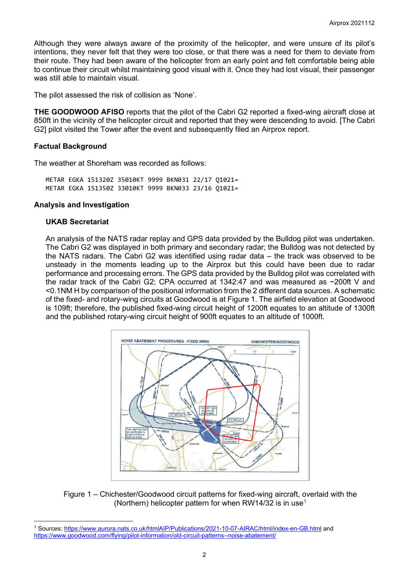Although they were always aware of the proximity of the helicopter, and were unsure of its pilot's intentions, they never felt that they were too close, or that there was a need for them to deviate from their route. They had been aware of the helicopter from an early point and felt comfortable being able to continue their circuit whilst maintaining good visual with it. Once they had lost visual, their passenger was still able to maintain visual.

The pilot assessed the risk of collision as 'None'.

**THE GOODWOOD AFISO** reports that the pilot of the Cabri G2 reported a fixed-wing aircraft close at 850ft in the vicinity of the helicopter circuit and reported that they were descending to avoid. [The Cabri G2] pilot visited the Tower after the event and subsequently filed an Airprox report.

### **Factual Background**

The weather at Shoreham was recorded as follows:

METAR EGKA 151320Z 35010KT 9999 BKN031 22/17 Q1021= METAR EGKA 151350Z 33010KT 9999 BKN033 23/16 Q1021=

### **Analysis and Investigation**

#### **UKAB Secretariat**

An analysis of the NATS radar replay and GPS data provided by the Bulldog pilot was undertaken. The Cabri G2 was displayed in both primary and secondary radar; the Bulldog was not detected by the NATS radars. The Cabri G2 was identified using radar data – the track was observed to be unsteady in the moments leading up to the Airprox but this could have been due to radar performance and processing errors. The GPS data provided by the Bulldog pilot was correlated with the radar track of the Cabri G2; CPA occurred at 1342:47 and was measured as ~200ft V and <0.1NM H by comparison of the positional information from the 2 different data sources. A schematic of the fixed- and rotary-wing circuits at Goodwood is at Figure 1. The airfield elevation at Goodwood is 109ft; therefore, the published fixed-wing circuit height of 1200ft equates to an altitude of 1300ft and the published rotary-wing circuit height of 900ft equates to an altitude of 1000ft.



Figure 1 – Chichester/Goodwood circuit patterns for fixed-wing aircraft, overlaid with the (Northern) helicopter pattern for when RW[1](#page-1-0)4/32 is in use<sup>1</sup>

<span id="page-1-0"></span><sup>&</sup>lt;sup>1</sup> Sources[: https://www.aurora.nats.co.uk/htmlAIP/Publications/2021-10-07-AIRAC/html/index-en-GB.html](https://www.aurora.nats.co.uk/htmlAIP/Publications/2021-10-07-AIRAC/html/index-en-GB.html) and <https://www.goodwood.com/flying/pilot-information/old-circuit-patterns--noise-abatement/>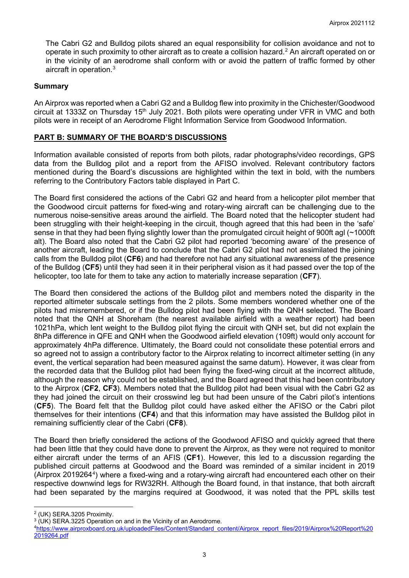The Cabri G2 and Bulldog pilots shared an equal responsibility for collision avoidance and not to operate in such proximity to other aircraft as to create a collision hazard. $^2$  $^2$  An aircraft operated on or in the vicinity of an aerodrome shall conform with or avoid the pattern of traffic formed by other aircraft in operation. $^3$  $^3$ 

#### **Summary**

An Airprox was reported when a Cabri G2 and a Bulldog flew into proximity in the Chichester/Goodwood circuit at 1333Z on Thursday 15<sup>th</sup> July 2021. Both pilots were operating under VFR in VMC and both pilots were in receipt of an Aerodrome Flight Information Service from Goodwood Information.

### **PART B: SUMMARY OF THE BOARD'S DISCUSSIONS**

Information available consisted of reports from both pilots, radar photographs/video recordings, GPS data from the Bulldog pilot and a report from the AFISO involved. Relevant contributory factors mentioned during the Board's discussions are highlighted within the text in bold, with the numbers referring to the Contributory Factors table displayed in Part C.

The Board first considered the actions of the Cabri G2 and heard from a helicopter pilot member that the Goodwood circuit patterns for fixed-wing and rotary-wing aircraft can be challenging due to the numerous noise-sensitive areas around the airfield. The Board noted that the helicopter student had been struggling with their height-keeping in the circuit, though agreed that this had been in the 'safe' sense in that they had been flying slightly lower than the promulgated circuit height of 900ft agl (~1000ft alt). The Board also noted that the Cabri G2 pilot had reported 'becoming aware' of the presence of another aircraft, leading the Board to conclude that the Cabri G2 pilot had not assimilated the joining calls from the Bulldog pilot (**CF6**) and had therefore not had any situational awareness of the presence of the Bulldog (**CF5**) until they had seen it in their peripheral vision as it had passed over the top of the helicopter, too late for them to take any action to materially increase separation (**CF7**).

The Board then considered the actions of the Bulldog pilot and members noted the disparity in the reported altimeter subscale settings from the 2 pilots. Some members wondered whether one of the pilots had misremembered, or if the Bulldog pilot had been flying with the QNH selected. The Board noted that the QNH at Shoreham (the nearest available airfield with a weather report) had been 1021hPa, which lent weight to the Bulldog pilot flying the circuit with QNH set, but did not explain the 8hPa difference in QFE and QNH when the Goodwood airfield elevation (109ft) would only account for approximately 4hPa difference. Ultimately, the Board could not consolidate these potential errors and so agreed not to assign a contributory factor to the Airprox relating to incorrect altimeter setting (in any event, the vertical separation had been measured against the same datum). However, it was clear from the recorded data that the Bulldog pilot had been flying the fixed-wing circuit at the incorrect altitude, although the reason why could not be established, and the Board agreed that this had been contributory to the Airprox (**CF2**, **CF3**). Members noted that the Bulldog pilot had been visual with the Cabri G2 as they had joined the circuit on their crosswind leg but had been unsure of the Cabri pilot's intentions (**CF5**). The Board felt that the Bulldog pilot could have asked either the AFISO or the Cabri pilot themselves for their intentions (**CF4**) and that this information may have assisted the Bulldog pilot in remaining sufficiently clear of the Cabri (**CF8**).

The Board then briefly considered the actions of the Goodwood AFISO and quickly agreed that there had been little that they could have done to prevent the Airprox, as they were not required to monitor either aircraft under the terms of an AFIS (**CF1**). However, this led to a discussion regarding the published circuit patterns at Goodwood and the Board was reminded of a similar incident in 2019 (Airprox 201926[4](#page-2-2)<sup>4</sup>) where a fixed-wing and a rotary-wing aircraft had encountered each other on their respective downwind legs for RW32RH. Although the Board found, in that instance, that both aircraft had been separated by the margins required at Goodwood, it was noted that the PPL skills test

<span id="page-2-0"></span><sup>2</sup> (UK) SERA.3205 Proximity.

<span id="page-2-1"></span> $3$  (UK) SERA.3225 Operation on and in the Vicinity of an Aerodrome.

<span id="page-2-2"></span>[<sup>4</sup>https://www.airproxboard.org.uk/uploadedFiles/Content/Standard\\_content/Airprox\\_report\\_files/2019/Airprox%20Report%20](https://www.airproxboard.org.uk/uploadedFiles/Content/Standard_content/Airprox_report_files/2019/Airprox%20Report%202019264.pdf) [2019264.pdf](https://www.airproxboard.org.uk/uploadedFiles/Content/Standard_content/Airprox_report_files/2019/Airprox%20Report%202019264.pdf)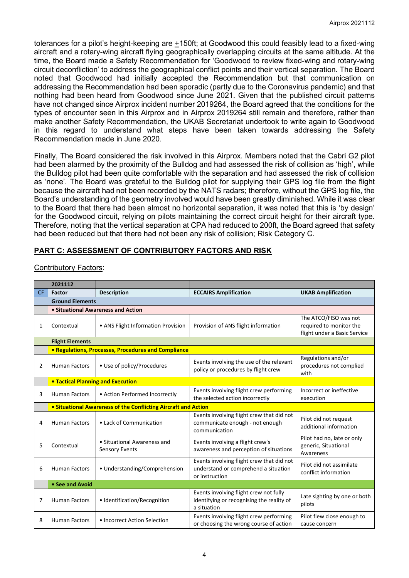tolerances for a pilot's height-keeping are +150ft; at Goodwood this could feasibly lead to a fixed-wing aircraft and a rotary-wing aircraft flying geographically overlapping circuits at the same altitude. At the time, the Board made a Safety Recommendation for 'Goodwood to review fixed-wing and rotary-wing circuit deconfliction' to address the geographical conflict points and their vertical separation. The Board noted that Goodwood had initially accepted the Recommendation but that communication on addressing the Recommendation had been sporadic (partly due to the Coronavirus pandemic) and that nothing had been heard from Goodwood since June 2021. Given that the published circuit patterns have not changed since Airprox incident number 2019264, the Board agreed that the conditions for the types of encounter seen in this Airprox and in Airprox 2019264 still remain and therefore, rather than make another Safety Recommendation, the UKAB Secretariat undertook to write again to Goodwood in this regard to understand what steps have been taken towards addressing the Safety Recommendation made in June 2020.

Finally, The Board considered the risk involved in this Airprox. Members noted that the Cabri G2 pilot had been alarmed by the proximity of the Bulldog and had assessed the risk of collision as 'high', while the Bulldog pilot had been quite comfortable with the separation and had assessed the risk of collision as 'none'. The Board was grateful to the Bulldog pilot for supplying their GPS log file from the flight because the aircraft had not been recorded by the NATS radars; therefore, without the GPS log file, the Board's understanding of the geometry involved would have been greatly diminished. While it was clear to the Board that there had been almost no horizontal separation, it was noted that this is 'by design' for the Goodwood circuit, relying on pilots maintaining the correct circuit height for their aircraft type. Therefore, noting that the vertical separation at CPA had reduced to 200ft, the Board agreed that safety had been reduced but that there had not been any risk of collision; Risk Category C.

# **PART C: ASSESSMENT OF CONTRIBUTORY FACTORS AND RISK**

|           | 2021112                                                    |                                                                       |                                                                                                     |                                                                                  |  |  |  |  |  |  |
|-----------|------------------------------------------------------------|-----------------------------------------------------------------------|-----------------------------------------------------------------------------------------------------|----------------------------------------------------------------------------------|--|--|--|--|--|--|
| <b>CF</b> | <b>Factor</b>                                              | <b>Description</b>                                                    | <b>UKAB Amplification</b>                                                                           |                                                                                  |  |  |  |  |  |  |
|           | <b>Ground Elements</b>                                     |                                                                       |                                                                                                     |                                                                                  |  |  |  |  |  |  |
|           | • Situational Awareness and Action                         |                                                                       |                                                                                                     |                                                                                  |  |  |  |  |  |  |
| 1         | Contextual                                                 | • ANS Flight Information Provision                                    | Provision of ANS flight information                                                                 | The ATCO/FISO was not<br>required to monitor the<br>flight under a Basic Service |  |  |  |  |  |  |
|           | <b>Flight Elements</b>                                     |                                                                       |                                                                                                     |                                                                                  |  |  |  |  |  |  |
|           | <b>• Regulations, Processes, Procedures and Compliance</b> |                                                                       |                                                                                                     |                                                                                  |  |  |  |  |  |  |
| 2         | <b>Human Factors</b>                                       | • Use of policy/Procedures                                            | Events involving the use of the relevant<br>policy or procedures by flight crew                     | Regulations and/or<br>procedures not complied<br>with                            |  |  |  |  |  |  |
|           |                                                            | <b>• Tactical Planning and Execution</b>                              |                                                                                                     |                                                                                  |  |  |  |  |  |  |
| 3         | <b>Human Factors</b>                                       | • Action Performed Incorrectly                                        | Events involving flight crew performing<br>the selected action incorrectly                          | Incorrect or ineffective<br>execution                                            |  |  |  |  |  |  |
|           |                                                            | <b>• Situational Awareness of the Conflicting Aircraft and Action</b> |                                                                                                     |                                                                                  |  |  |  |  |  |  |
| 4         | <b>Human Factors</b>                                       | • Lack of Communication                                               | Events involving flight crew that did not<br>communicate enough - not enough<br>communication       | Pilot did not request<br>additional information                                  |  |  |  |  |  |  |
| 5         | Contextual                                                 | • Situational Awareness and<br><b>Sensory Events</b>                  | Events involving a flight crew's<br>awareness and perception of situations                          | Pilot had no, late or only<br>generic, Situational<br>Awareness                  |  |  |  |  |  |  |
| 6         | <b>Human Factors</b>                                       | • Understanding/Comprehension                                         | Events involving flight crew that did not<br>understand or comprehend a situation<br>or instruction | Pilot did not assimilate<br>conflict information                                 |  |  |  |  |  |  |
|           | • See and Avoid                                            |                                                                       |                                                                                                     |                                                                                  |  |  |  |  |  |  |
| 7         | <b>Human Factors</b>                                       | · Identification/Recognition                                          | Events involving flight crew not fully<br>identifying or recognising the reality of<br>a situation  | Late sighting by one or both<br>pilots                                           |  |  |  |  |  |  |
| 8         | <b>Human Factors</b>                                       | • Incorrect Action Selection                                          | Events involving flight crew performing<br>or choosing the wrong course of action                   | Pilot flew close enough to<br>cause concern                                      |  |  |  |  |  |  |

Contributory Factors: